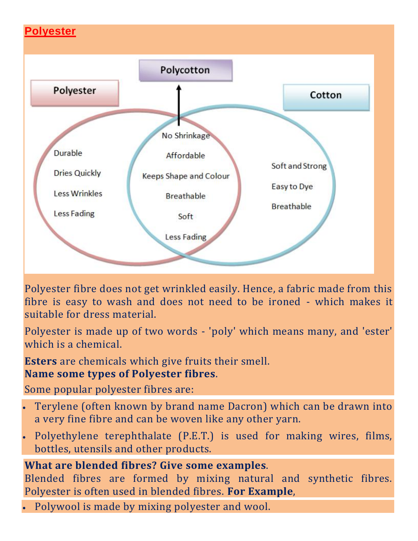

Polyester fibre does not get wrinkled easily. Hence, a fabric made from this fibre is easy to wash and does not need to be ironed - which makes it suitable for dress material.

Polyester is made up of two words - 'poly' which means many, and 'ester' which is a chemical.

**Esters** are chemicals which give fruits their smell.

#### **Name some types of Polyester fibres**.

Some popular polyester fibres are:

- Terylene (often known by brand name Dacron) which can be drawn into a very fine fibre and can be woven like any other yarn.
- Polyethylene terephthalate (P.E.T.) is used for making wires, films, bottles, utensils and other products.

## **What are blended fibres? Give some examples**.

Blended fibres are formed by mixing natural and synthetic fibres. Polyester is often used in blended fibres. **For Example**,

Polywool is made by mixing polyester and wool.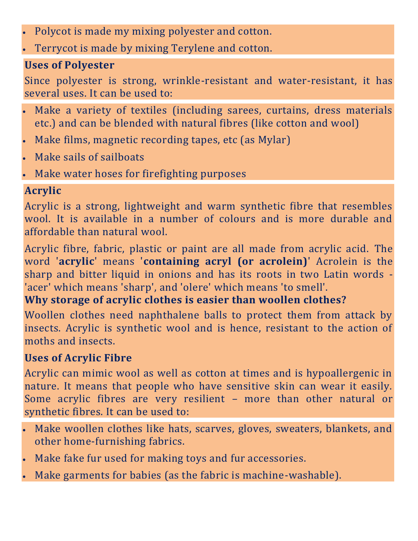- Polycot is made my mixing polyester and cotton.
- Terrycot is made by mixing Terylene and cotton.

### **Uses of Polyester**

Since polyester is strong, wrinkle-resistant and water-resistant, it has several uses. It can be used to:

- Make a variety of textiles (including sarees, curtains, dress materials etc.) and can be blended with natural fibres (like cotton and wool)
- Make films, magnetic recording tapes, etc (as Mylar)
- Make sails of sailboats
- Make water hoses for firefighting purposes

# **Acrylic**

Acrylic is a strong, lightweight and warm synthetic fibre that resembles wool. It is available in a number of colours and is more durable and affordable than natural wool.

Acrylic fibre, fabric, plastic or paint are all made from acrylic acid. The word '**acrylic**' means '**containing acryl (or acrolein)**' Acrolein is the sharp and bitter liquid in onions and has its roots in two Latin words - 'acer' which means 'sharp', and 'olere' which means 'to smell'.

## **Why storage of acrylic clothes is easier than woollen clothes?**

Woollen clothes need naphthalene balls to protect them from attack by insects. Acrylic is synthetic wool and is hence, resistant to the action of moths and insects.

## **Uses of Acrylic Fibre**

Acrylic can mimic wool as well as cotton at times and is hypoallergenic in nature. It means that people who have sensitive skin can wear it easily. Some acrylic fibres are very resilient – more than other natural or synthetic fibres. It can be used to:

- Make woollen clothes like hats, scarves, gloves, sweaters, blankets, and other home-furnishing fabrics.
- Make fake fur used for making toys and fur accessories.
- Make garments for babies (as the fabric is machine-washable).